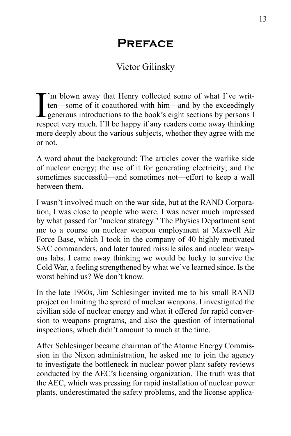## **Preface**

## Victor Gilinsky

I<sub>rest</sub> 'm blown away that Henry collected some of what I've written—some of it coauthored with him—and by the exceedingly generous introductions to the book's eight sections by persons I respect very much. I'll be happy if any readers come away thinking more deeply about the various subjects, whether they agree with me or not.

A word about the background: The articles cover the warlike side of nuclear energy; the use of it for generating electricity; and the sometimes successful—and sometimes not—effort to keep a wall between them.

I wasn't involved much on the war side, but at the RAND Corporation, I was close to people who were. I was never much impressed by what passed for "nuclear strategy." The Physics Department sent me to a course on nuclear weapon employment at Maxwell Air Force Base, which I took in the company of 40 highly motivated SAC commanders, and later toured missile silos and nuclear weapons labs. I came away thinking we would be lucky to survive the Cold War, a feeling strengthened by what we've learned since. Is the worst behind us? We don't know.

In the late 1960s, Jim Schlesinger invited me to his small RAND project on limiting the spread of nuclear weapons. I investigated the civilian side of nuclear energy and what it offered for rapid conversion to weapons programs, and also the question of international inspections, which didn't amount to much at the time.

After Schlesinger became chairman of the Atomic Energy Commission in the Nixon administration, he asked me to join the agency to investigate the bottleneck in nuclear power plant safety reviews conducted by the AEC's licensing organization. The truth was that the AEC, which was pressing for rapid installation of nuclear power plants, underestimated the safety problems, and the license applica